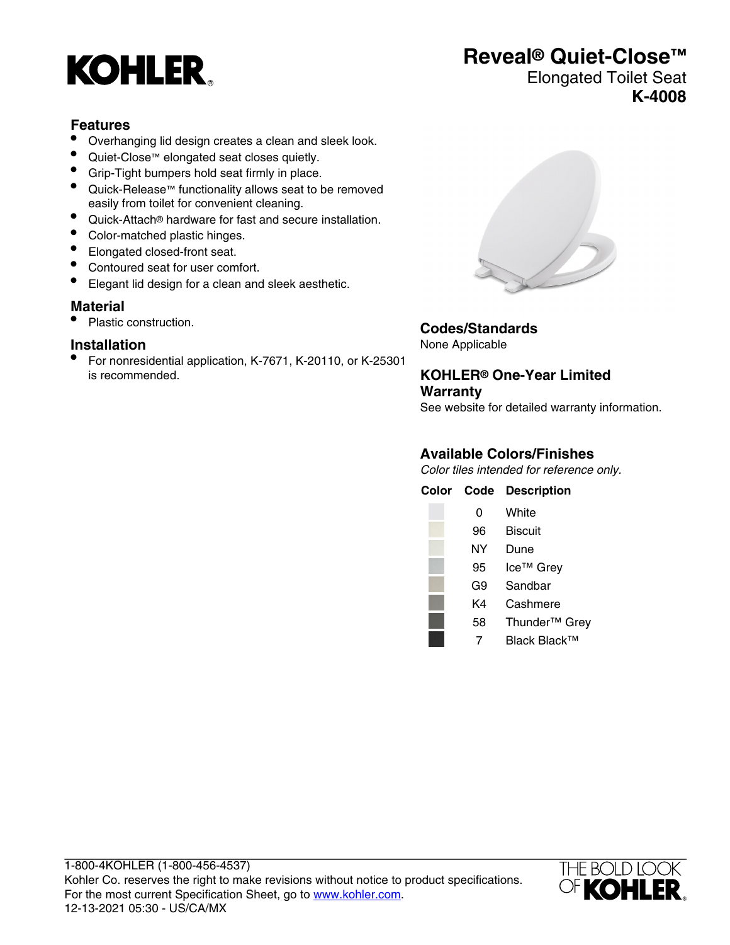# **KOHLER**

### **Reveal® Quiet-Close™**

#### Elongated Toilet Seat **K-4008**

#### **Features**

- Overhanging lid design creates a clean and sleek look.
- Quiet-Close™ elongated seat closes quietly.<br>• Grin-Tight bumpers hold seat firmly in place
- Grip-Tight bumpers hold seat firmly in place.
- Quick-Release™ functionality allows seat to be removed easily from toilet for convenient cleaning.
- Quick-Attach® hardware for fast and secure installation.
- Color-matched plastic hinges.
- Elongated closed-front seat.
- Contoured seat for user comfort.
- Elegant lid design for a clean and sleek aesthetic.

#### **Material**

• Plastic construction.

#### **Installation**

• For nonresidential application, K-7671, K-20110, or K-25301 is recommended.



**Codes/Standards**

None Applicable

**KOHLER® One-Year Limited Warranty**

See website for detailed warranty information.

#### **Available Colors/Finishes**

Color tiles intended for reference only.

| Color | Code | <b>Description</b>        |
|-------|------|---------------------------|
|       | 0    | White                     |
|       | 96   | Biscuit                   |
|       | NΥ   | Dune                      |
|       | 95   | Ice <sup>™</sup> Grey     |
|       | G9   | Sandbar                   |
|       | K4   | Cashmere                  |
|       | 58   | Thunder <sup>™</sup> Grey |
|       |      | Black Black™              |